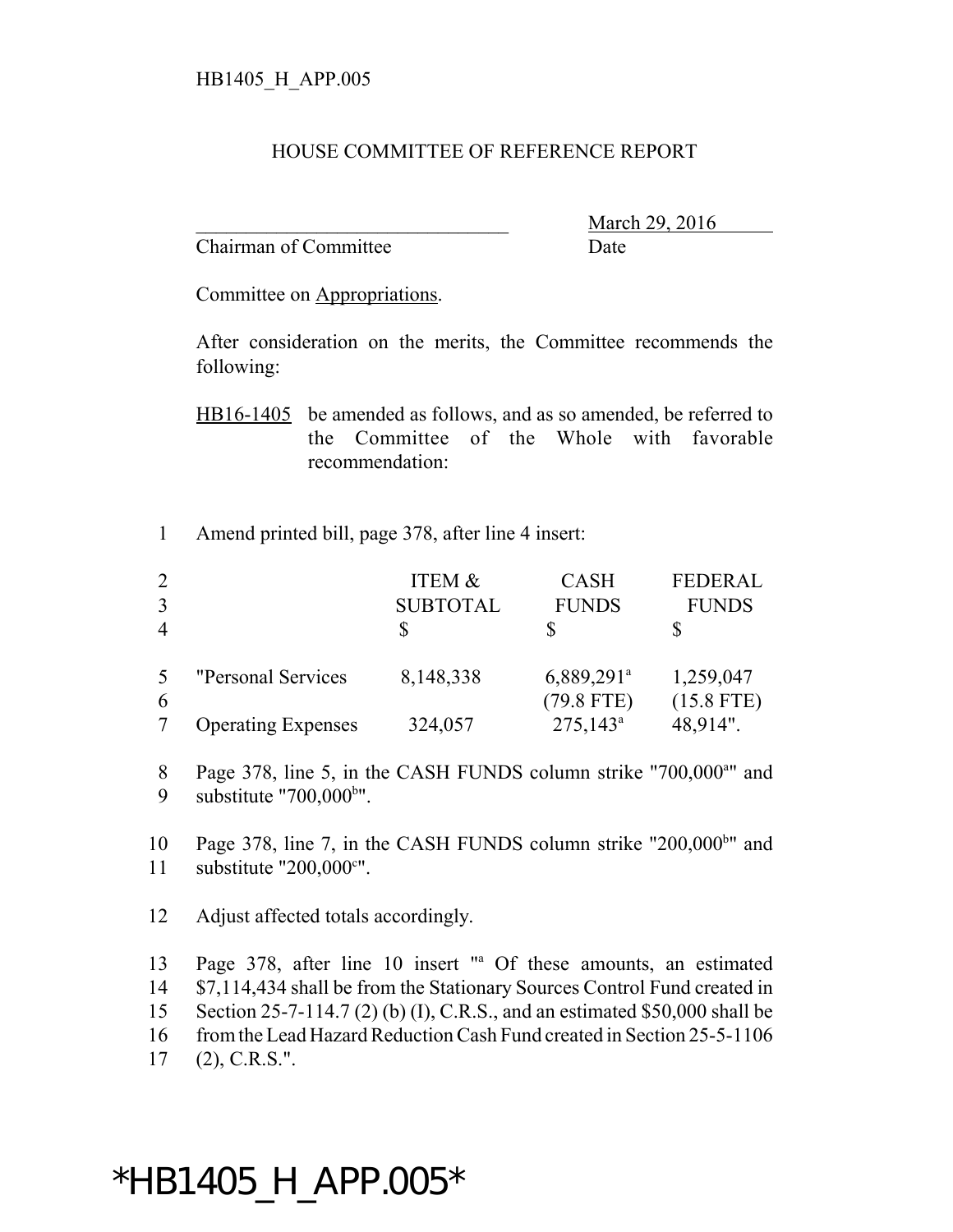## HOUSE COMMITTEE OF REFERENCE REPORT

Chairman of Committee Date

March 29, 2016

Committee on Appropriations.

After consideration on the merits, the Committee recommends the following:

HB16-1405 be amended as follows, and as so amended, be referred to the Committee of the Whole with favorable recommendation:

1 Amend printed bill, page 378, after line 4 insert:

|                |                           | ITEM &          | <b>CASH</b>                            | <b>FEDERAL</b>            |
|----------------|---------------------------|-----------------|----------------------------------------|---------------------------|
| 3              |                           | <b>SUBTOTAL</b> | <b>FUNDS</b>                           | <b>FUNDS</b>              |
| $\overline{4}$ |                           |                 |                                        |                           |
| 5<br>6         | "Personal Services"       | 8,148,338       | 6,889,291 <sup>a</sup><br>$(79.8$ FTE) | 1,259,047<br>$(15.8$ FTE) |
|                | <b>Operating Expenses</b> | 324,057         | $275,143^{\circ}$                      | 48,914".                  |

8 Page 378, line 5, in the CASH FUNDS column strike "700,000<sup>a</sup>" and 9 substitute  $"700,000^{\text{b}}"$ .

10 Page 378, line 7, in the CASH FUNDS column strike " $200,000<sup>bu</sup>$  and 11 substitute  $"200,000$ <sup>c"</sup>.

12 Adjust affected totals accordingly.

13 Page 378, after line 10 insert "<sup>a</sup> Of these amounts, an estimated 14 \$7,114,434 shall be from the Stationary Sources Control Fund created in 15 Section 25-7-114.7 (2) (b) (I), C.R.S., and an estimated \$50,000 shall be 16 from the Lead Hazard Reduction Cash Fund created in Section 25-5-1106 17 (2), C.R.S.".

## \*HB1405\_H\_APP.005\*